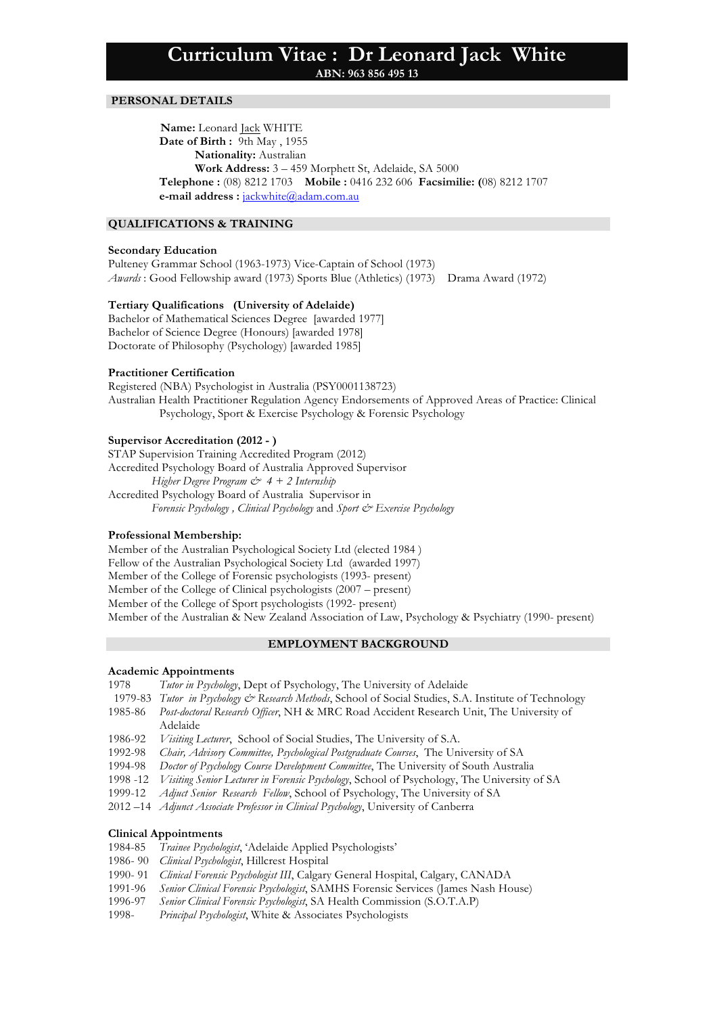**ABN: 963 856 495 13**

# **PERSONAL DETAILS**

 **Name:** Leonard Jack WHITE **Date of Birth :** 9th May , 1955 **Nationality:** Australian **Work Address:** 3 – 459 Morphett St, Adelaide, SA 5000 **Telephone :** (08) 8212 1703 **Mobile :** 0416 232 606 **Facsimilie: (**08) 8212 1707 **e-mail address :** jackwhite@adam.com.au

### **QUALIFICATIONS & TRAINING**

## **Secondary Education**

Pulteney Grammar School (1963-1973) Vice-Captain of School (1973) *Awards* : Good Fellowship award (1973) Sports Blue (Athletics) (1973) Drama Award (1972)

## **Tertiary Qualifications (University of Adelaide)**

Bachelor of Mathematical Sciences Degree [awarded 1977] Bachelor of Science Degree (Honours) [awarded 1978] Doctorate of Philosophy (Psychology) [awarded 1985]

### **Practitioner Certification**

Registered (NBA) Psychologist in Australia (PSY0001138723) Australian Health Practitioner Regulation Agency Endorsements of Approved Areas of Practice: Clinical Psychology, Sport & Exercise Psychology & Forensic Psychology

# **Supervisor Accreditation (2012 - )**

STAP Supervision Training Accredited Program (2012) Accredited Psychology Board of Australia Approved Supervisor *Higher Degree Program & 4 + 2 Internship* Accredited Psychology Board of Australia Supervisor in *Forensic Psychology , Clinical Psychology* and *Sport & Exercise Psychology*

### **Professional Membership:**

Member of the Australian Psychological Society Ltd (elected 1984 ) Fellow of the Australian Psychological Society Ltd (awarded 1997) Member of the College of Forensic psychologists (1993- present) Member of the College of Clinical psychologists (2007 – present) Member of the College of Sport psychologists (1992- present) Member of the Australian & New Zealand Association of Law, Psychology & Psychiatry (1990- present)

## **EMPLOYMENT BACKGROUND**

#### **Academic Appointments**

- 1978 *Tutor in Psychology*, Dept of Psychology, The University of Adelaide
- 1979-83 *Tutor in Psychology & Research Methods*, School of Social Studies, S.A. Institute of Technology
- 1985-86 *Post-doctoral Research Officer*, NH & MRC Road Accident Research Unit, The University of Adelaide
- 1986-92 *Visiting Lecturer*, School of Social Studies, The University of S.A.
- 1992-98 *Chair, Advisory Committee, Psychological Postgraduate Courses*, The University of SA
- 1994-98 *Doctor of Psychology Course Development Committee*, The University of South Australia
- 1998 -12 *Visiting Senior Lecturer in Forensic Psychology*, School of Psychology, The University of SA
- 1999-12 *Adjuct Senior Research Fellow*, School of Psychology, The University of SA
- 2012 –14 *Adjunct Associate Professor in Clinical Psychology*, University of Canberra

### **Clinical Appointments**

- 1984-85 *Trainee Psychologist*, 'Adelaide Applied Psychologists'
- 1986- 90 *Clinical Psychologist*, Hillcrest Hospital
- 1990- 91 *Clinical Forensic Psychologist III*, Calgary General Hospital, Calgary, CANADA
- 1991-96 *Senior Clinical Forensic Psychologist*, SAMHS Forensic Services (James Nash House)
- 1996-97 *Senior Clinical Forensic Psychologist*, SA Health Commission (S.O.T.A.P)
- 1998- *Principal Psychologist*, White & Associates Psychologists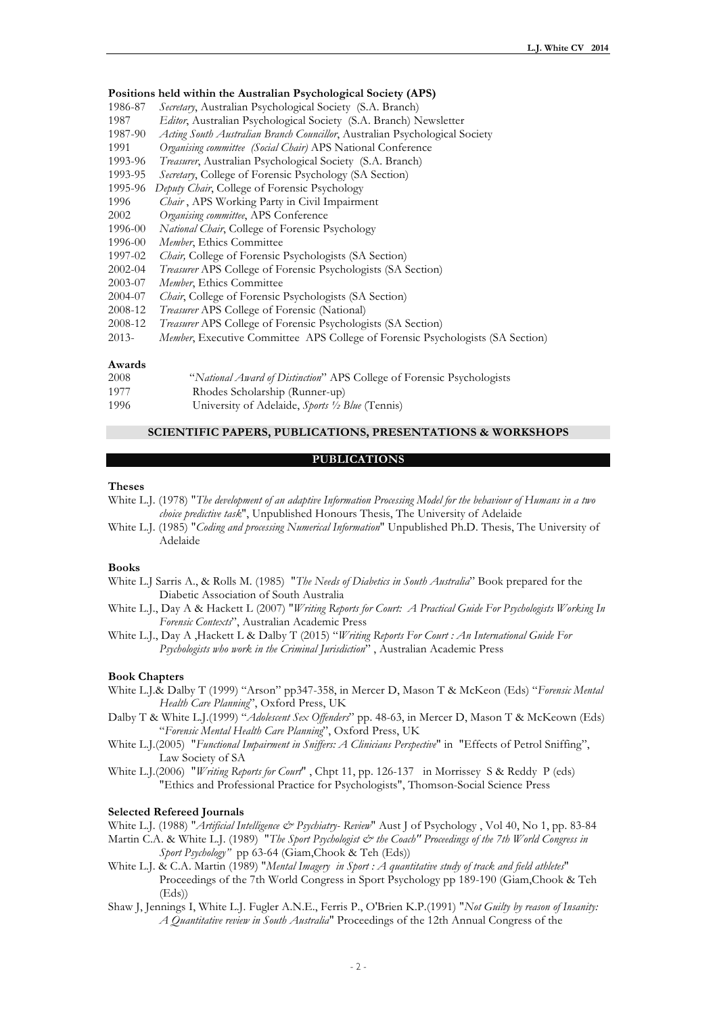### **Positions held within the Australian Psychological Society (APS)**

- 1986-87 *Secretary*, Australian Psychological Society (S.A. Branch)
- 1987 *Editor*, Australian Psychological Society (S.A. Branch) Newsletter
- 1987-90 *Acting South Australian Branch Councillor*, Australian Psychological Society
- 1991 *Organising committee (Social Chair)* APS National Conference
- 1993-96 *Treasurer*, Australian Psychological Society (S.A. Branch)
- 1993-95 *Secretary*, College of Forensic Psychology (SA Section)
- 1995-96 *Deputy Chair*, College of Forensic Psychology
- 1996 *Chair* , APS Working Party in Civil Impairment
- 2002 *Organising committee*, APS Conference
- 1996-00 *National Chair*, College of Forensic Psychology
- 1996-00 *Member*, Ethics Committee
- 1997-02 *Chair,* College of Forensic Psychologists (SA Section)
- 2002-04 *Treasurer* APS College of Forensic Psychologists (SA Section)
- 2003-07 *Member*, Ethics Committee
- 2004-07 *Chair*, College of Forensic Psychologists (SA Section)
- 2008-12 *Treasurer* APS College of Forensic (National)
- 2008-12 *Treasurer* APS College of Forensic Psychologists (SA Section)
- 2013- *Member*, Executive Committee APS College of Forensic Psychologists (SA Section)

#### **Awards**

| 2008 |               | "National Award of Distinction" APS College of Forensic Psychologists |  |
|------|---------------|-----------------------------------------------------------------------|--|
| 1077 | $1011$ $1111$ |                                                                       |  |

- 1977 Rhodes Scholarship (Runner-up)
- 1996 University of Adelaide, *Sports ½ Blue* (Tennis)

## **SCIENTIFIC PAPERS, PUBLICATIONS, PRESENTATIONS & WORKSHOPS**

## **PUBLICATIONS**

## **Theses**

|                                                                                         | White L.J. (1978) "The development of an adaptive Information Processing Model for the behaviour of Humans in a two |
|-----------------------------------------------------------------------------------------|---------------------------------------------------------------------------------------------------------------------|
| <i>choice predictive task</i> ", Unpublished Honours Thesis, The University of Adelaide |                                                                                                                     |

White L.J. (1985) "*Coding and processing Numerical Information*" Unpublished Ph.D. Thesis, The University of Adelaide

#### **Books**

- White L.J Sarris A., & Rolls M. (1985) "*The Needs of Diabetics in South Australia*" Book prepared for the Diabetic Association of South Australia
- White L.J., Day A & Hackett L (2007) "*Writing Reports for Court: A Practical Guide For Psychologists Working In Forensic Contexts*", Australian Academic Press
- White L.J., Day A ,Hackett L & Dalby T (2015) "*Writing Reports For Court : An International Guide For Psychologists who work in the Criminal Jurisdiction*" , Australian Academic Press

## **Book Chapters**

- White L.J.& Dalby T (1999) "Arson" pp347-358, in Mercer D, Mason T & McKeon (Eds) "*Forensic Mental Health Care Planning*", Oxford Press, UK
- Dalby T & White L.J.(1999) "*Adolescent Sex Offenders*" pp. 48-63, in Mercer D, Mason T & McKeown (Eds) "*Forensic Mental Health Care Planning*", Oxford Press, UK
- White L.J.(2005) "*Functional Impairment in Sniffers: A Clinicians Perspective*" in "Effects of Petrol Sniffing", Law Society of SA
- White L.J.(2006) "*Writing Reports for Court*" , Chpt 11, pp. 126-137 in Morrissey S & Reddy P (eds) "Ethics and Professional Practice for Psychologists", Thomson-Social Science Press

### **Selected Refereed Journals**

White L.J. (1988) "*Artificial Intelligence & Psychiatry- Review*" Aust J of Psychology , Vol 40, No 1, pp. 83-84

- Martin C.A. & White L.J. (1989) <sup>"</sup>*The Sport Psychologist*  $\mathcal O$  *the Coach" Proceedings of the 7th World Congress in Sport Psychology"* pp 63-64 (Giam,Chook & Teh (Eds))
- White L.J. & C.A. Martin (1989) "*Mental Imagery in Sport : A quantitative study of track and field athletes*" Proceedings of the 7th World Congress in Sport Psychology pp 189-190 (Giam,Chook & Teh  $(Eds)$
- Shaw J, Jennings I, White L.J. Fugler A.N.E., Ferris P., O'Brien K.P.(1991) "*Not Guilty by reason of Insanity: A Quantitative review in South Australia*" Proceedings of the 12th Annual Congress of the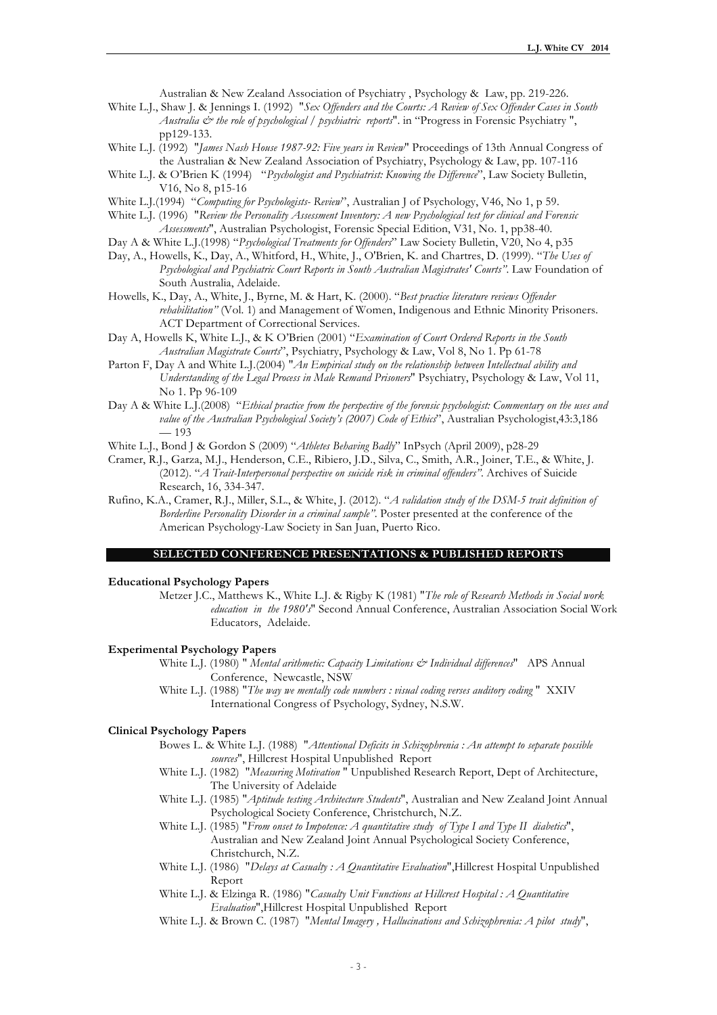Australian & New Zealand Association of Psychiatry , Psychology & Law, pp. 219-226.

White L.J., Shaw J. & Jennings I. (1992) "*Sex Offenders and the Courts: A Review of Sex Offender Cases in South Australia & the role of psychological / psychiatric reports*". in "Progress in Forensic Psychiatry ", pp129-133.

- White L.J. (1992) "*James Nash House 1987-92: Five years in Review*" Proceedings of 13th Annual Congress of the Australian & New Zealand Association of Psychiatry, Psychology & Law, pp. 107-116
- White L.J. & O'Brien K (1994) "*Psychologist and Psychiatrist: Knowing the Difference*", Law Society Bulletin, V16, No 8, p15-16
- White L.J.(1994) "*Computing for Psychologists- Review*", Australian J of Psychology, V46, No 1, p 59.
- White L.J. (1996) "*Review the Personality Assessment Inventory: A new Psychological test for clinical and Forensic Assessments*", Australian Psychologist, Forensic Special Edition, V31, No. 1, pp38-40.
- Day A & White L.J.(1998) "*Psychological Treatments for Offenders*" Law Society Bulletin, V20, No 4, p35
- Day, A., Howells, K., Day, A., Whitford, H., White, J., O'Brien, K. and Chartres, D. (1999). "*The Uses of Psychological and Psychiatric Court Reports in South Australian Magistrates' Courts"*. Law Foundation of South Australia, Adelaide.
- Howells, K., Day, A., White, J., Byrne, M. & Hart, K. (2000). "*Best practice literature reviews Offender rehabilitation"* (Vol. 1) and Management of Women, Indigenous and Ethnic Minority Prisoners. ACT Department of Correctional Services.
- Day A, Howells K, White L.J., & K O'Brien (2001) "*Examination of Court Ordered Reports in the South Australian Magistrate Courts*", Psychiatry, Psychology & Law, Vol 8, No 1. Pp 61-78
- Parton F, Day A and White L.J.(2004) "*An Empirical study on the relationship between Intellectual ability and Understanding of the Legal Process in Male Remand Prisoners*" Psychiatry, Psychology & Law, Vol 11, No 1. Pp 96-109
- Day A & White L.J.(2008) "*Ethical practice from the perspective of the forensic psychologist: Commentary on the uses and value of the Australian Psychological Society's (2007) Code of Ethics*", Australian Psychologist,43:3,186 — 193
- White L.J., Bond J & Gordon S (2009) "*Athletes Behaving Badly*" InPsych (April 2009), p28-29
- Cramer, R.J., Garza, M.J., Henderson, C.E., Ribiero, J.D., Silva, C., Smith, A.R., Joiner, T.E., & White, J. (2012). "*A Trait-Interpersonal perspective on suicide risk in criminal offenders"*. Archives of Suicide Research, 16, 334-347.
- Rufino, K.A., Cramer, R.J., Miller, S.L., & White, J. (2012). "*A validation study of the DSM-5 trait definition of Borderline Personality Disorder in a criminal sample"*. Poster presented at the conference of the American Psychology-Law Society in San Juan, Puerto Rico.

### **SELECTED CONFERENCE PRESENTATIONS & PUBLISHED REPORTS**

#### **Educational Psychology Papers**

Metzer J.C., Matthews K., White L.J. & Rigby K (1981) "*The role of Research Methods in Social work education in the 1980's*" Second Annual Conference, Australian Association Social Work Educators, Adelaide.

### **Experimental Psychology Papers**

- White L.J. (1980) " *Mental arithmetic: Capacity Limitations & Individual differences*" APS Annual Conference, Newcastle, NSW
- White L.J. (1988) "*The way we mentally code numbers : visual coding verses auditory coding* " XXIV International Congress of Psychology, Sydney, N.S.W.

### **Clinical Psychology Papers**

- Bowes L. & White L.J. (1988) "*Attentional Deficits in Schizophrenia : An attempt to separate possible sources*", Hillcrest Hospital Unpublished Report
- White L.J. (1982) "*Measuring Motivation* " Unpublished Research Report, Dept of Architecture, The University of Adelaide
- White L.J. (1985) "*Aptitude testing Architecture Students*", Australian and New Zealand Joint Annual Psychological Society Conference, Christchurch, N.Z.
- White L.J. (1985) "*From onset to Impotence: A quantitative study of Type I and Type II diabetics*", Australian and New Zealand Joint Annual Psychological Society Conference, Christchurch, N.Z.
- White L.J. (1986) "*Delays at Casualty : A Quantitative Evaluation*",Hillcrest Hospital Unpublished Report
- White L.J. & Elzinga R. (1986) "*Casualty Unit Functions at Hillcrest Hospital : A Quantitative Evaluation*",Hillcrest Hospital Unpublished Report
- White L.J. & Brown C. (1987) "*Mental Imagery , Hallucinations and Schizophrenia: A pilot study*",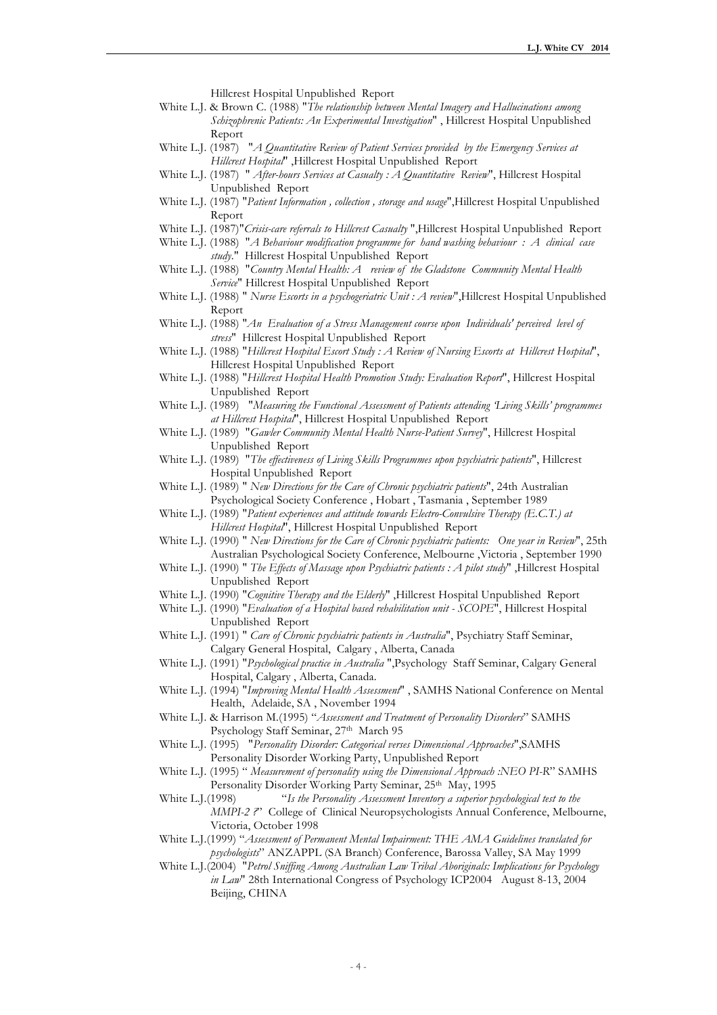Hillcrest Hospital Unpublished Report

- White L.J. & Brown C. (1988) "*The relationship between Mental Imagery and Hallucinations among Schizophrenic Patients: An Experimental Investigation*" , Hillcrest Hospital Unpublished Report
- White L.J. (1987) "*A Quantitative Review of Patient Services provided by the Emergency Services at Hillcrest Hospital*" ,Hillcrest Hospital Unpublished Report
- White L.J. (1987) " *After-hours Services at Casualty : A Quantitative Review*", Hillcrest Hospital Unpublished Report
- White L.J. (1987) "*Patient Information , collection , storage and usage*",Hillcrest Hospital Unpublished Report
- White L.J. (1987)"*Crisis-care referrals to Hillcrest Casualty* ",Hillcrest Hospital Unpublished Report
- White L.J. (1988) "*A Behaviour modification programme for hand washing behaviour : A clinical case study*." Hillcrest Hospital Unpublished Report
- White L.J. (1988) "*Country Mental Health: A review of the Gladstone Community Mental Health Service*" Hillcrest Hospital Unpublished Report
- White L.J. (1988) " *Nurse Escorts in a psychogeriatric Unit : A review*",Hillcrest Hospital Unpublished Report
- White L.J. (1988) "*An Evaluation of a Stress Management course upon Individuals' perceived level of stress*" Hillcrest Hospital Unpublished Report
- White L.J. (1988) "*Hillcrest Hospital Escort Study : A Review of Nursing Escorts at Hillcrest Hospital*", Hillcrest Hospital Unpublished Report
- White L.J. (1988) "*Hillcrest Hospital Health Promotion Study: Evaluation Report*", Hillcrest Hospital Unpublished Report
- White L.J. (1989) "*Measuring the Functional Assessment of Patients attending 'Living Skills' programmes at Hillcrest Hospital*", Hillcrest Hospital Unpublished Report
- White L.J. (1989) "*Gawler Community Mental Health Nurse-Patient Survey*", Hillcrest Hospital Unpublished Report
- White L.J. (1989) "*The effectiveness of Living Skills Programmes upon psychiatric patients*", Hillcrest Hospital Unpublished Report
- White L.J. (1989) " *New Directions for the Care of Chronic psychiatric patients*", 24th Australian Psychological Society Conference , Hobart , Tasmania , September 1989
- White L.J. (1989) "*Patient experiences and attitude towards Electro-Convulsive Therapy (E.C.T.) at Hillcrest Hospital*", Hillcrest Hospital Unpublished Report
- White L.J. (1990) " *New Directions for the Care of Chronic psychiatric patients: One year in Review*", 25th Australian Psychological Society Conference, Melbourne ,Victoria , September 1990
- White L.J. (1990) " *The Effects of Massage upon Psychiatric patients : A pilot study*" ,Hillcrest Hospital Unpublished Report
- White L.J. (1990) "*Cognitive Therapy and the Elderly*" ,Hillcrest Hospital Unpublished Report
- White L.J. (1990) "*Evaluation of a Hospital based rehabilitation unit - SCOPE*", Hillcrest Hospital Unpublished Report
- White L.J. (1991) " *Care of Chronic psychiatric patients in Australia*", Psychiatry Staff Seminar, Calgary General Hospital, Calgary , Alberta, Canada
- White L.J. (1991) "*Psychological practice in Australia* ",Psychology Staff Seminar, Calgary General Hospital, Calgary , Alberta, Canada.
- White L.J. (1994) "*Improving Mental Health Assessment*" , SAMHS National Conference on Mental Health, Adelaide, SA , November 1994
- White L.J. & Harrison M.(1995) "*Assessment and Treatment of Personality Disorders*" SAMHS Psychology Staff Seminar, 27<sup>th</sup> March 95
- White L.J. (1995) "*Personality Disorder: Categorical verses Dimensional Approaches*",SAMHS Personality Disorder Working Party, Unpublished Report
- White L.J. (1995) " *Measurement of personality using the Dimensional Approach :NEO PI-R*" SAMHS Personality Disorder Working Party Seminar, 25<sup>th</sup> May, 1995
- White L.J.(1998) "*Is the Personality Assessment Inventory a superior psychological test to the MMPI-2 ?*" College of Clinical Neuropsychologists Annual Conference, Melbourne, Victoria, October 1998
- White L.J.(1999) "*Assessment of Permanent Mental Impairment: THE AMA Guidelines translated for psychologists*" ANZAPPL (SA Branch) Conference, Barossa Valley, SA May 1999
- White L.J.(2004) "*Petrol Sniffing Among Australian Law Tribal Aboriginals: Implications for Psychology in Law*" 28th International Congress of Psychology ICP2004 August 8-13, 2004 Beijing, CHINA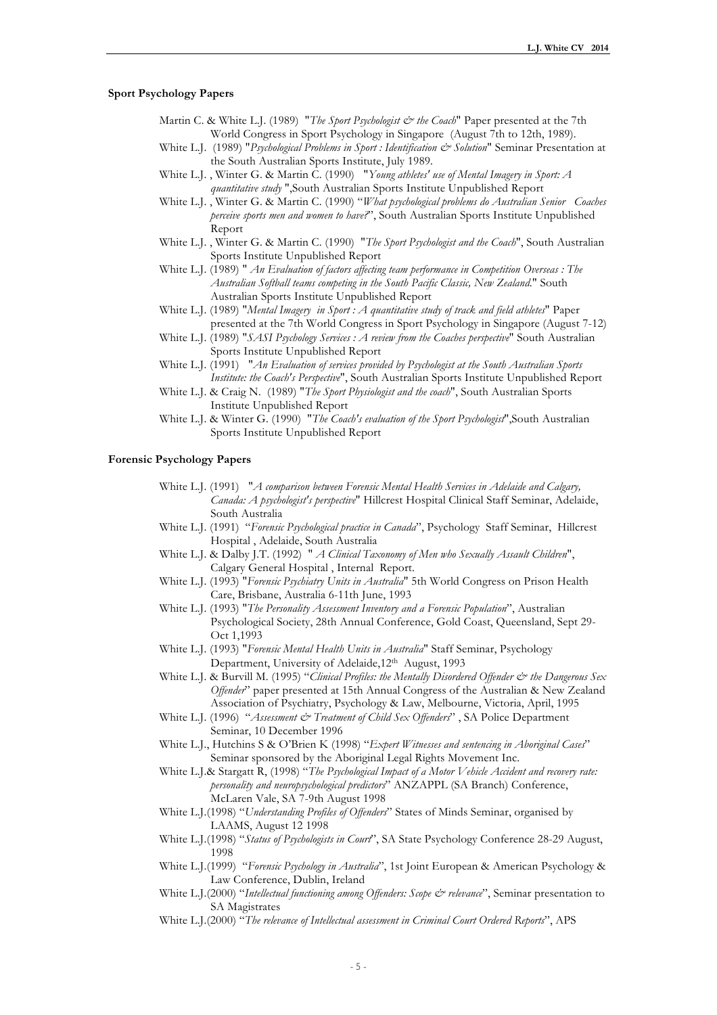### **Sport Psychology Papers**

- Martin C. & White L.J. (1989) "*The Sport Psychologist*  $\dot{\mathcal{C}}$  *the Coach*" Paper presented at the 7th World Congress in Sport Psychology in Singapore (August 7th to 12th, 1989).
- White L.J. (1989) "*Psychological Problems in Sport : Identification & Solution*" Seminar Presentation at the South Australian Sports Institute, July 1989.
- White L.J. , Winter G. & Martin C. (1990) "*Young athletes' use of Mental Imagery in Sport: A quantitative study* ",South Australian Sports Institute Unpublished Report
- White L.J. , Winter G. & Martin C. (1990) "*What psychological problems do Australian Senior Coaches perceive sports men and women to have?*", South Australian Sports Institute Unpublished Report
- White L.J. , Winter G. & Martin C. (1990) "*The Sport Psychologist and the Coach*", South Australian Sports Institute Unpublished Report
- White L.J. (1989) " *An Evaluation of factors affecting team performance in Competition Overseas : The Australian Softball teams competing in the South Pacific Classic, New Zealand*." South Australian Sports Institute Unpublished Report
- White L.J. (1989) "*Mental Imagery in Sport : A quantitative study of track and field athletes*" Paper presented at the 7th World Congress in Sport Psychology in Singapore (August 7-12)
- White L.J. (1989) "*SASI Psychology Services : A review from the Coaches perspective*" South Australian Sports Institute Unpublished Report
- White L.J. (1991) "*An Evaluation of services provided by Psychologist at the South Australian Sports Institute: the Coach's Perspective*", South Australian Sports Institute Unpublished Report
- White L.J. & Craig N. (1989) "*The Sport Physiologist and the coach*", South Australian Sports Institute Unpublished Report
- White L.J. & Winter G. (1990) "*The Coach's evaluation of the Sport Psychologist*",South Australian Sports Institute Unpublished Report

#### **Forensic Psychology Papers**

- White L.J. (1991) "*A comparison between Forensic Mental Health Services in Adelaide and Calgary, Canada: A psychologist's perspective*" Hillcrest Hospital Clinical Staff Seminar, Adelaide, South Australia
- White L.J. (1991) "*Forensic Psychological practice in Canada*", Psychology Staff Seminar, Hillcrest Hospital , Adelaide, South Australia
- White L.J. & Dalby J.T. (1992) " *A Clinical Taxonomy of Men who Sexually Assault Children*", Calgary General Hospital , Internal Report.
- White L.J. (1993) "*Forensic Psychiatry Units in Australia*" 5th World Congress on Prison Health Care, Brisbane, Australia 6-11th June, 1993
- White L.J. (1993) "*The Personality Assessment Inventory and a Forensic Population*", Australian Psychological Society, 28th Annual Conference, Gold Coast, Queensland, Sept 29- Oct 1,1993
- White L.J. (1993) "*Forensic Mental Health Units in Australia*" Staff Seminar, Psychology Department, University of Adelaide, 12<sup>th</sup> August, 1993
- White L.J. & Burvill M. (1995) "Clinical Profiles: the Mentally Disordered Offender & the Dangerous Sex *Offender*" paper presented at 15th Annual Congress of the Australian & New Zealand Association of Psychiatry, Psychology & Law, Melbourne, Victoria, April, 1995
- White L.J. (1996) "Assessment & Treatment of Child Sex Offenders", SA Police Department Seminar, 10 December 1996
- White L.J., Hutchins S & O'Brien K (1998) "*Expert Witnesses and sentencing in Aboriginal Cases*" Seminar sponsored by the Aboriginal Legal Rights Movement Inc.
- White L.J.& Stargatt R, (1998) "*The Psychological Impact of a Motor Vehicle Accident and recovery rate: personality and neuropsychological predictors*" ANZAPPL (SA Branch) Conference, McLaren Vale, SA 7-9th August 1998
- White L.J.(1998) "*Understanding Profiles of Offenders*" States of Minds Seminar, organised by LAAMS, August 12 1998
- White L.J.(1998) "*Status of Psychologists in Court*", SA State Psychology Conference 28-29 August, 1998
- White L.J.(1999) "*Forensic Psychology in Australia*", 1st Joint European & American Psychology & Law Conference, Dublin, Ireland
- White L.J.(2000) "*Intellectual functioning among Offenders: Scope & relevance*", Seminar presentation to SA Magistrates
- White L.J.(2000) "*The relevance of Intellectual assessment in Criminal Court Ordered Reports*", APS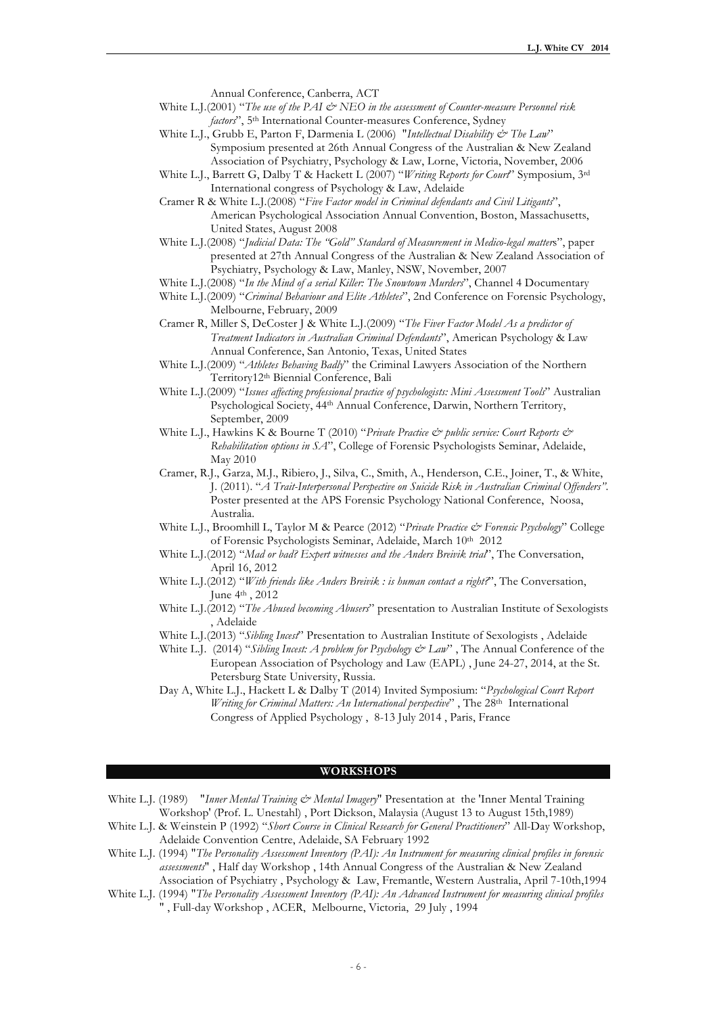Annual Conference, Canberra, ACT

- White L.J.(2001) "The use of the PAI & NEO in the assessment of Counter-measure Personnel risk *factors*", 5th International Counter-measures Conference, Sydney
- White L.J., Grubb E, Parton F, Darmenia L (2006) "*Intellectual Disability & The Law*" Symposium presented at 26th Annual Congress of the Australian & New Zealand Association of Psychiatry, Psychology & Law, Lorne, Victoria, November, 2006
- White L.J., Barrett G, Dalby T & Hackett L (2007) "*Writing Reports for Court*" Symposium, 3rd International congress of Psychology & Law, Adelaide
- Cramer R & White L.J.(2008) "*Five Factor model in Criminal defendants and Civil Litigants*", American Psychological Association Annual Convention, Boston, Massachusetts, United States, August 2008
- White L.J.(2008) "*Judicial Data: The "Gold" Standard of Measurement in Medico-legal matter*s", paper presented at 27th Annual Congress of the Australian & New Zealand Association of Psychiatry, Psychology & Law, Manley, NSW, November, 2007
- White L.J.(2008) "*In the Mind of a serial Killer: The Snowtown Murders*", Channel 4 Documentary
- White L.J.(2009) "*Criminal Behaviour and Elite Athletes*", 2nd Conference on Forensic Psychology, Melbourne, February, 2009
- Cramer R, Miller S, DeCoster J & White L.J.(2009) "*The Fiver Factor Model As a predictor of Treatment Indicators in Australian Criminal Defendants*", American Psychology & Law Annual Conference, San Antonio, Texas, United States
- White L.J.(2009) "*Athletes Behaving Badly*" the Criminal Lawyers Association of the Northern Territory12th Biennial Conference, Bali
- White L.J.(2009) "*Issues affecting professional practice of psychologists: Mini Assessment Tools*" Australian Psychological Society, 44<sup>th</sup> Annual Conference, Darwin, Northern Territory, September, 2009
- White L.J., Hawkins K & Bourne T (2010) "*Private Practice & public service: Court Reports & Rehabilitation options in SA*", College of Forensic Psychologists Seminar, Adelaide, May 2010
- Cramer, R.J., Garza, M.J., Ribiero, J., Silva, C., Smith, A., Henderson, C.E., Joiner, T., & White, J. (2011). "*A Trait-Interpersonal Perspective on Suicide Risk in Australian Criminal Offenders"*. Poster presented at the APS Forensic Psychology National Conference, Noosa, Australia.
- White L.J., Broomhill L, Taylor M & Pearce (2012) "*Private Practice & Forensic Psychology*" College of Forensic Psychologists Seminar, Adelaide, March 10th 2012
- White L.J.(2012) "*Mad or bad? Expert witnesses and the Anders Breivik trial*", The Conversation, April 16, 2012
- White L.J.(2012) "*With friends like Anders Breivik : is human contact a right?*", The Conversation, June 4th , 2012
- White L.J.(2012) "*The Abused becoming Abusers*" presentation to Australian Institute of Sexologists , Adelaide
- White L.J.(2013) "*Sibling Incest*" Presentation to Australian Institute of Sexologists , Adelaide
- White L.J. (2014) "*Sibling Incest: A problem for Psychology & Law*" , The Annual Conference of the European Association of Psychology and Law (EAPL) , June 24-27, 2014, at the St. Petersburg State University, Russia.
- Day A, White L.J., Hackett L & Dalby T (2014) Invited Symposium: "*Psychological Court Report Writing for Criminal Matters: An International perspective*" , The 28th International Congress of Applied Psychology , 8-13 July 2014 , Paris, France

### **WORKSHOPS**

- White L.J. (1989) "*Inner Mental Training & Mental Imagery*" Presentation at the 'Inner Mental Training Workshop' (Prof. L. Unestahl) , Port Dickson, Malaysia (August 13 to August 15th,1989)
- White L.J. & Weinstein P (1992) "*Short Course in Clinical Research for General Practitioners*" All-Day Workshop, Adelaide Convention Centre, Adelaide, SA February 1992
- White L.J. (1994) "*The Personality Assessment Inventory (PAI): An Instrument for measuring clinical profiles in forensic assessments*" , Half day Workshop , 14th Annual Congress of the Australian & New Zealand Association of Psychiatry , Psychology & Law, Fremantle, Western Australia, April 7-10th,1994
- White L.J. (1994) "*The Personality Assessment Inventory (PAI): An Advanced Instrument for measuring clinical profiles*  " , Full-day Workshop , ACER, Melbourne, Victoria, 29 July , 1994